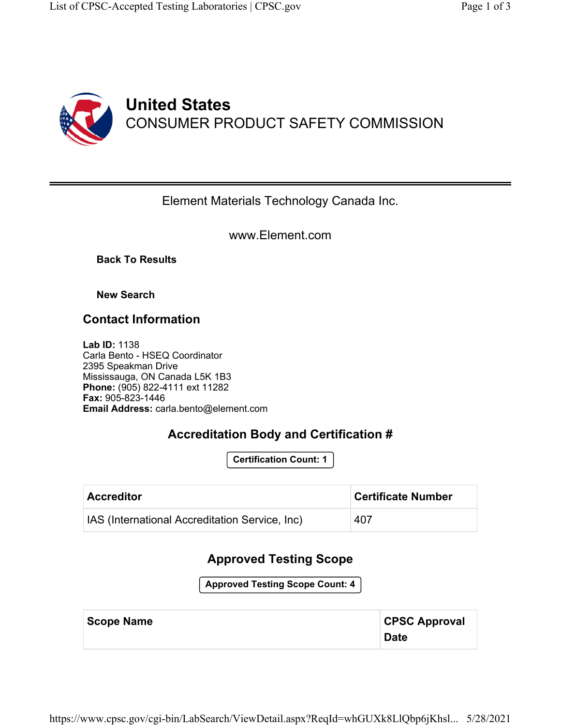

#### Element Materials Technology Canada Inc.

www.Element.com

**Back To Results**

**New Search**

### **Contact Information**

**Lab ID:** 1138 Carla Bento - HSEQ Coordinator 2395 Speakman Drive Mississauga, ON Canada L5K 1B3 **Phone:** (905) 822-4111 ext 11282 **Fax:** 905-823-1446 **Email Address:** carla.bento@element.com

## **Accreditation Body and Certification #**

**Certification Count: 1**

| <b>Accreditor</b>                                     | <b>Certificate Number</b> |
|-------------------------------------------------------|---------------------------|
| <b>IAS (International Accreditation Service, Inc)</b> | 407                       |

### **Approved Testing Scope**

**Approved Testing Scope Count: 4**

| <b>Scope Name</b> | <b>CPSC Approval</b> |
|-------------------|----------------------|
|                   | <b>Date</b>          |